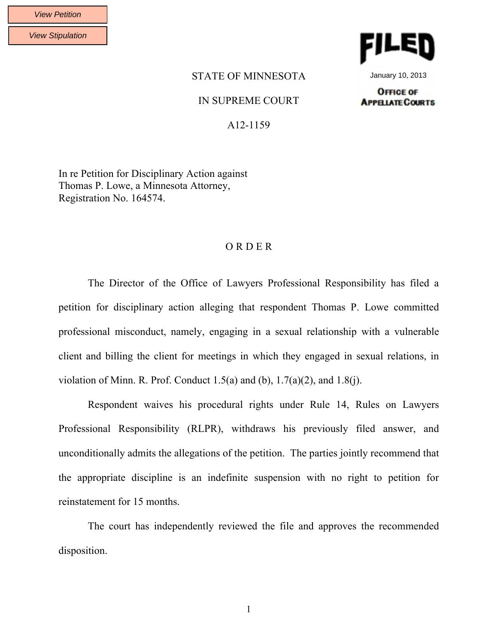View Stipulation



January 10, 2013

## STATE OF MINNESOTA

## IN SUPREME COURT

**OFFICE OF APPELATE COURTS** 

A12-1159

In re Petition for Disciplinary Action against Thomas P. Lowe, a Minnesota Attorney, Registration No. 164574.

## O R D E R

The Director of the Office of Lawyers Professional Responsibility has filed a petition for disciplinary action alleging that respondent Thomas P. Lowe committed professional misconduct, namely, engaging in a sexual relationship with a vulnerable client and billing the client for meetings in which they engaged in sexual relations, in violation of Minn. R. Prof. Conduct  $1.5(a)$  and  $(b)$ ,  $1.7(a)(2)$ , and  $1.8(i)$ .

Respondent waives his procedural rights under Rule 14, Rules on Lawyers Professional Responsibility (RLPR), withdraws his previously filed answer, and unconditionally admits the allegations of the petition. The parties jointly recommend that the appropriate discipline is an indefinite suspension with no right to petition for reinstatement for 15 months.

The court has independently reviewed the file and approves the recommended disposition.